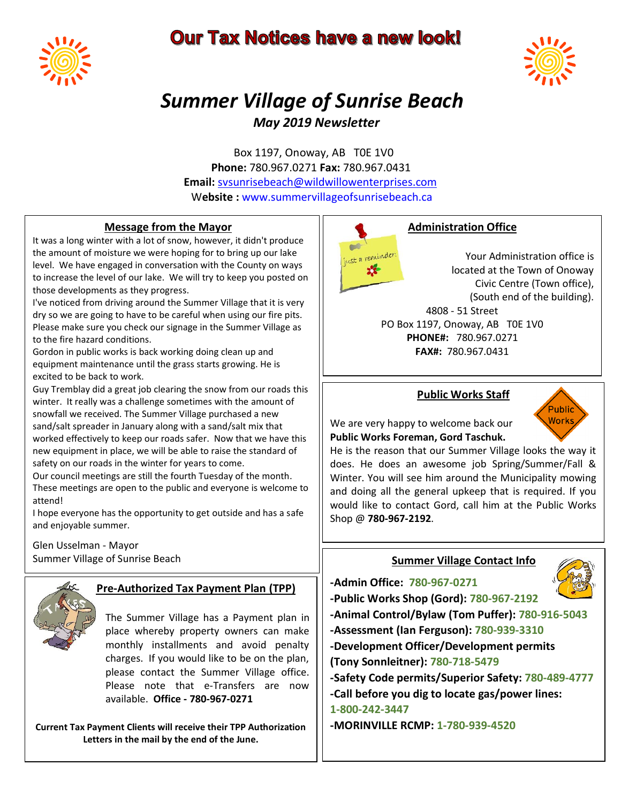# **Our Tax Notices have a new look!**





# *Summer Village of Sunrise Beach May 2019 Newsletter*

Box 1197, Onoway, AB T0E 1V0  **Phone:** 780.967.0271 **Fax:** 780.967.0431 **Email:** [svsunrisebeach@wildwillowenterprises.com](mailto:svsunrisebeach@wildwillowenterprises.com) W**ebsite :** www.summervillageofsunrisebeach.ca

#### **Message from the Mayor**

It was a long winter with a lot of snow, however, it didn't produce the amount of moisture we were hoping for to bring up our lake level. We have engaged in conversation with the County on ways to increase the level of our lake. We will try to keep you posted on those developments as they progress.

I've noticed from driving around the Summer Village that it is very dry so we are going to have to be careful when using our fire pits. Please make sure you check our signage in the Summer Village as to the fire hazard conditions.

Gordon in public works is back working doing clean up and equipment maintenance until the grass starts growing. He is excited to be back to work.

Guy Tremblay did a great job clearing the snow from our roads this winter. It really was a challenge sometimes with the amount of snowfall we received. The Summer Village purchased a new sand/salt spreader in January along with a sand/salt mix that worked effectively to keep our roads safer. Now that we have this new equipment in place, we will be able to raise the standard of safety on our roads in the winter for years to come.

Our council meetings are still the fourth Tuesday of the month. These meetings are open to the public and everyone is welcome to attend!

I hope everyone has the opportunity to get outside and has a safe and enjoyable summer.

#### Glen Usselman - Mayor Summer Village of Sunrise Beach



# **Pre-Authorized Tax Payment Plan (TPP)**

The Summer Village has a Payment plan in place whereby property owners can make monthly installments and avoid penalty charges. If you would like to be on the plan, please contact the Summer Village office. Please note that e-Transfers are now available. **Office - 780-967-0271**

**Current Tax Payment Clients will receive their TPP Authorization Letters in the mail by the end of the June.**



### **Administration Office**

Your Administration office is located at the Town of Onoway Civic Centre (Town office), (South end of the building). 4808 - 51 Street

PO Box 1197, Onoway, AB T0E 1V0 **PHONE#:** 780.967.0271 **FAX#:** 780.967.0431

#### **Public Works Staff**



We are very happy to welcome back our **Public Works Foreman, Gord Taschuk.** 

He is the reason that our Summer Village looks the way it does. He does an awesome job Spring/Summer/Fall & Winter. You will see him around the Municipality mowing and doing all the general upkeep that is required. If you would like to contact Gord, call him at the Public Works Shop @ **780-967-2192**.

### **Summer Village Contact Info**

**-Admin Office: 780-967-0271**



**-Public Works Shop (Gord): 780-967-2192 -Animal Control/Bylaw (Tom Puffer): 780-916-5043 -Assessment (Ian Ferguson): 780-939-3310 -Development Officer/Development permits (Tony Sonnleitner): 780-718-5479 -Safety Code permits/Superior Safety: 780-489-4777 -Call before you dig to locate gas/power lines: 1-800-242-3447 -MORINVILLE RCMP: 1-780-939-4520**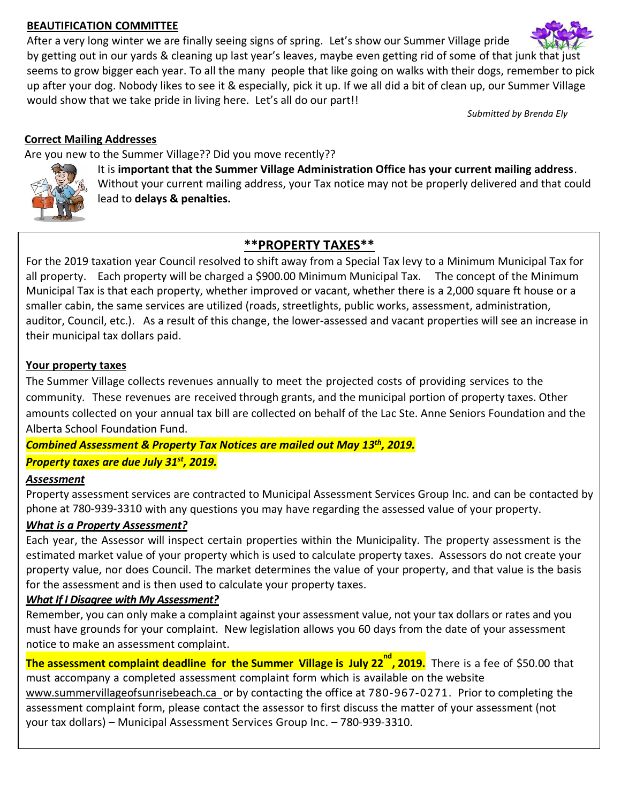#### **BEAUTIFICATION COMMITTEE**

After a very long winter we are finally seeing signs of spring. Let's show our Summer Village pride by getting out in our yards & cleaning up last year's leaves, maybe even getting rid of some of that junk that just seems to grow bigger each year. To all the many people that like going on walks with their dogs, remember to pick up after your dog. Nobody likes to see it & especially, pick it up. If we all did a bit of clean up, our Summer Village would show that we take pride in living here. Let's all do our part!!

*Submitted by Brenda Ely*

## **Correct Mailing Addresses**

Are you new to the Summer Village?? Did you move recently??



It is **important that the Summer Village Administration Office has your current mailing address**. Without your current mailing address, your Tax notice may not be properly delivered and that could lead to **delays & penalties.**

# **\*\*PROPERTY TAXES\*\***

For the 2019 taxation year Council resolved to shift away from a Special Tax levy to a Minimum Municipal Tax for all property. Each property will be charged a \$900.00 Minimum Municipal Tax. The concept of the Minimum Municipal Tax is that each property, whether improved or vacant, whether there is a 2,000 square ft house or a smaller cabin, the same services are utilized (roads, streetlights, public works, assessment, administration, auditor, Council, etc.). As a result of this change, the lower-assessed and vacant properties will see an increase in their municipal tax dollars paid.

## **Your property taxes**

The Summer Village collects revenues annually to meet the projected costs of providing services to the community. These revenues are received through grants, and the municipal portion of property taxes. Other amounts collected on your annual tax bill are collected on behalf of the Lac Ste. Anne Seniors Foundation and the Alberta School Foundation Fund.

*Combined Assessment & Property Tax Notices are mailed out May 13 th, 2019. Property taxes are due July 31st , 2019.*

# *Assessment*

Property assessment services are contracted to Municipal Assessment Services Group Inc. and can be contacted by phone at 780-939-3310 with any questions you may have regarding the assessed value of your property.

# *What is a Property Assessment?*

Each year, the Assessor will inspect certain properties within the Municipality. The property assessment is the estimated market value of your property which is used to calculate property taxes. Assessors do not create your property value, nor does Council. The market determines the value of your property, and that value is the basis for the assessment and is then used to calculate your property taxes.

### *What If I Disagree with My Assessment?*

Remember, you can only make a complaint against your assessment value, not your tax dollars or rates and you must have grounds for your complaint. New legislation allows you 60 days from the date of your assessment notice to make an assessment complaint.

**The assessment complaint deadline for the Summer Village is July 22 nd , 2019.** There is a fee of \$50.00 that must accompany a completed assessment complaint form which is available on the website www.summervillageofsunrisebeach.ca or by contacting the office at 780-967-0271. Prior to completing the assessment complaint form, please contact the assessor to first discuss the matter of your assessment (not your tax dollars) – Municipal Assessment Services Group Inc. – 780-939-3310.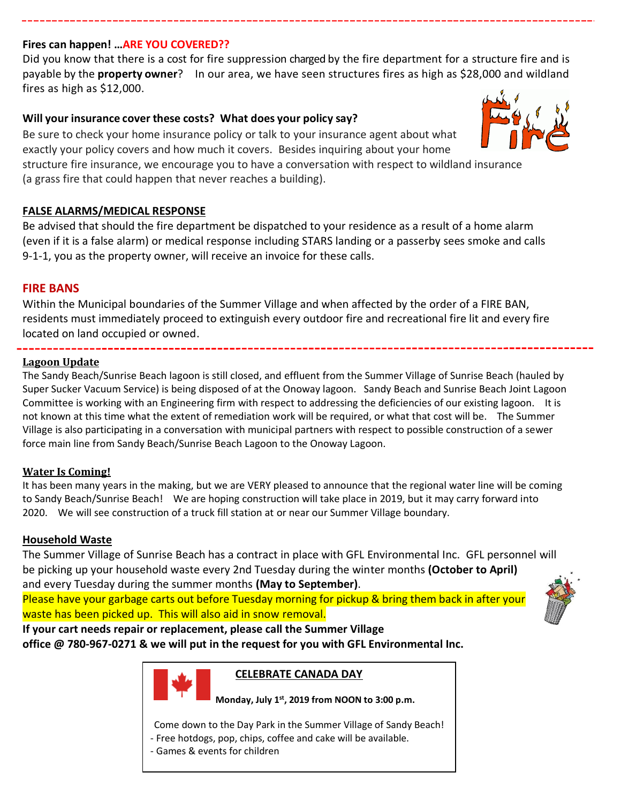#### **Fires can happen! …ARE YOU COVERED??**

Did you know that there is a cost for fire suppression charged by the fire department for a structure fire and is payable by the **property owner**? In our area, we have seen structures fires as high as \$28,000 and wildland fires as high as \$12,000.

#### **Will your insurance cover these costs? What does your policy say?**

Be sure to check your home insurance policy or talk to your insurance agent about what exactly your policy covers and how much it covers. Besides inquiring about your home

structure fire insurance, we encourage you to have a conversation with respect to wildland insurance (a grass fire that could happen that never reaches a building).

#### **FALSE ALARMS/MEDICAL RESPONSE**

Be advised that should the fire department be dispatched to your residence as a result of a home alarm (even if it is a false alarm) or medical response including STARS landing or a passerby sees smoke and calls 9-1-1, you as the property owner, will receive an invoice for these calls.

#### **FIRE BANS**

Within the Municipal boundaries of the Summer Village and when affected by the order of a FIRE BAN, residents must immediately proceed to extinguish every outdoor fire and recreational fire lit and every fire located on land occupied or owned.

**Lagoon Update**

The Sandy Beach/Sunrise Beach lagoon is still closed, and effluent from the Summer Village of Sunrise Beach (hauled by Super Sucker Vacuum Service) is being disposed of at the Onoway lagoon. Sandy Beach and Sunrise Beach Joint Lagoon Committee is working with an Engineering firm with respect to addressing the deficiencies of our existing lagoon. It is not known at this time what the extent of remediation work will be required, or what that cost will be. The Summer Village is also participating in a conversation with municipal partners with respect to possible construction of a sewer force main line from Sandy Beach/Sunrise Beach Lagoon to the Onoway Lagoon.

#### **Water Is Coming!**

It has been many years in the making, but we are VERY pleased to announce that the regional water line will be coming to Sandy Beach/Sunrise Beach! We are hoping construction will take place in 2019, but it may carry forward into 2020. We will see construction of a truck fill station at or near our Summer Village boundary.

#### **Household Waste**

The Summer Village of Sunrise Beach has a contract in place with GFL Environmental Inc. GFL personnel will be picking up your household waste every 2nd Tuesday during the winter months **(October to April)** and every Tuesday during the summer months **(May to September)**.

Please have your garbage carts out before Tuesday morning for pickup & bring them back in after your waste has been picked up. This will also aid in snow removal.



**If your cart needs repair or replacement, please call the Summer Village** 

**office @ 780-967-0271 & we will put in the request for you with GFL Environmental Inc.**



#### **CELEBRATE CANADA DAY**

 **Monday, July 1st, 2019 from NOON to 3:00 p.m.**

Come down to the Day Park in the Summer Village of Sandy Beach! - Free hotdogs, pop, chips, coffee and cake will be available.